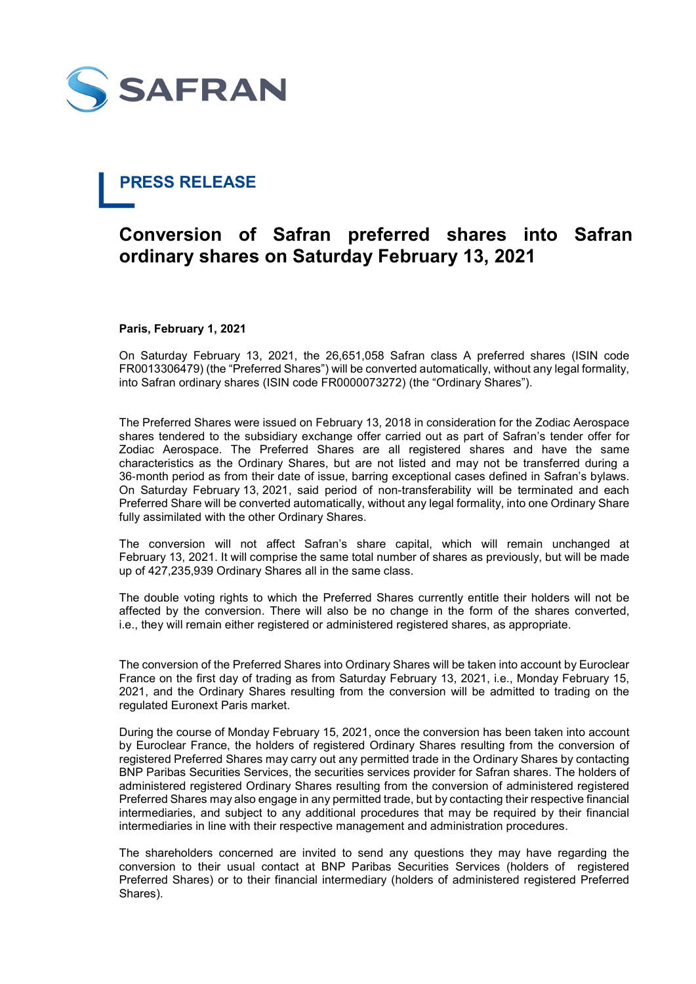

# PRESS RELEASE

## Conversion of Safran preferred shares into Safran ordinary shares on Saturday February 13, 2021

### Paris, February 1, 2021

On Saturday February 13, 2021, the 26,651,058 Safran class A preferred shares (ISIN code FR0013306479) (the "Preferred Shares") will be converted automatically, without any legal formality, into Safran ordinary shares (ISIN code FR0000073272) (the "Ordinary Shares").

The Preferred Shares were issued on February 13, 2018 in consideration for the Zodiac Aerospace shares tendered to the subsidiary exchange offer carried out as part of Safran's tender offer for Zodiac Aerospace. The Preferred Shares are all registered shares and have the same characteristics as the Ordinary Shares, but are not listed and may not be transferred during a 36‑month period as from their date of issue, barring exceptional cases defined in Safran's bylaws. On Saturday February 13, 2021, said period of non-transferability will be terminated and each Preferred Share will be converted automatically, without any legal formality, into one Ordinary Share fully assimilated with the other Ordinary Shares.

The conversion will not affect Safran's share capital, which will remain unchanged at February 13, 2021. It will comprise the same total number of shares as previously, but will be made up of 427,235,939 Ordinary Shares all in the same class.

The double voting rights to which the Preferred Shares currently entitle their holders will not be affected by the conversion. There will also be no change in the form of the shares converted, i.e., they will remain either registered or administered registered shares, as appropriate.

The conversion of the Preferred Shares into Ordinary Shares will be taken into account by Euroclear France on the first day of trading as from Saturday February 13, 2021, i.e., Monday February 15, 2021, and the Ordinary Shares resulting from the conversion will be admitted to trading on the regulated Euronext Paris market.

During the course of Monday February 15, 2021, once the conversion has been taken into account by Euroclear France, the holders of registered Ordinary Shares resulting from the conversion of registered Preferred Shares may carry out any permitted trade in the Ordinary Shares by contacting BNP Paribas Securities Services, the securities services provider for Safran shares. The holders of administered registered Ordinary Shares resulting from the conversion of administered registered Preferred Shares may also engage in any permitted trade, but by contacting their respective financial intermediaries, and subject to any additional procedures that may be required by their financial intermediaries in line with their respective management and administration procedures.

The shareholders concerned are invited to send any questions they may have regarding the conversion to their usual contact at BNP Paribas Securities Services (holders of registered Preferred Shares) or to their financial intermediary (holders of administered registered Preferred Shares).